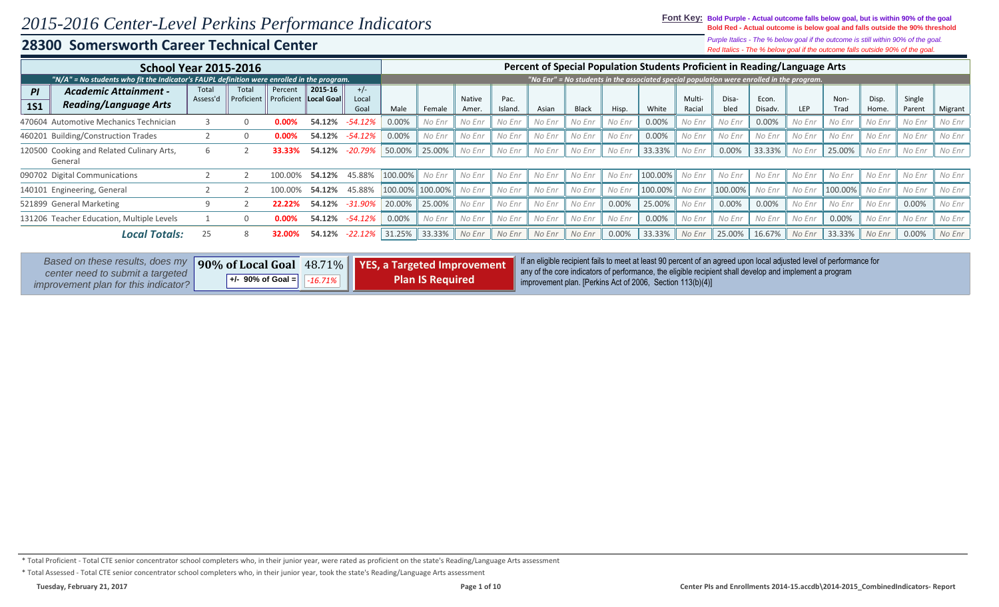### **Font Key: Bold Purple - Actual outcome falls below goal, but is within 90% of the goal Bold Red - Actual outcome is below goal and falls outside the 90% threshold**

*Red Italics - The % below goal if the outcome falls outside 90% of the goal. Purple Italics - The % below goal if the outcome is still within 90% of the goal.*

|                  | <b>School Year 2015-2016</b>                                                                   |                   |                     |                       |                       |                        |         |         |                 |                 |        |              |        | Percent of Special Population Students Proficient in Reading/Language Arts                |                  |               |                  |            |              |                |                  |         |
|------------------|------------------------------------------------------------------------------------------------|-------------------|---------------------|-----------------------|-----------------------|------------------------|---------|---------|-----------------|-----------------|--------|--------------|--------|-------------------------------------------------------------------------------------------|------------------|---------------|------------------|------------|--------------|----------------|------------------|---------|
|                  | "N/A" = No students who fit the Indicator's FAUPL definition were enrolled in the program.     |                   |                     |                       |                       |                        |         |         |                 |                 |        |              |        | "No Enr" = No students in the associated special population were enrolled in the program. |                  |               |                  |            |              |                |                  |         |
| PI<br><b>1S1</b> | <b>Academic Attainment -</b><br><b>Reading/Language Arts</b>                                   | Total<br>Assess'd | Total<br>Proficient | Percent<br>Proficient | 2015-16<br>Local Goal | $+/-$<br>Local<br>Goal | Male    | Female  | Native<br>Amer. | Pac.<br>Island. | Asian  | <b>Black</b> | Hisp.  | White                                                                                     | Multi-<br>Racial | Disa-<br>bled | Econ.<br>Disadv. | <b>LEP</b> | Non-<br>Trad | Disp.<br>Home. | Single<br>Parent | Migrant |
|                  | 470604 Automotive Mechanics Technician                                                         |                   |                     | $0.00\%$              | 54.12%                | -54.12%                | 0.00%   | No Enr  | No Enr          | No Enr          | No Enr | No Enr       | No Enr | 0.00%                                                                                     | No Enr           | No Enr        | 0.00%            | No Enr     | No Enr       | No Enr         | No Enr           | No Enr  |
|                  | 460201 Building/Construction Trades<br>54.12%<br>$0.00\%$                                      |                   |                     |                       |                       |                        | 0.00%   | No Enr  | No Enr          | No Enr          | No Enr | No Enr       | No Enr | 0.00%                                                                                     | No Enr           | No Enr        | No Enr           | No Enr     | No Enr       | No Enr         | No Enr           | No Enr  |
|                  | -54.12%<br>120500 Cooking and Related Culinary Arts,<br>-20.79%<br>54.12%<br>33.33%<br>General |                   |                     |                       |                       |                        | 50.00%  | 25.00%  | No Enr          | No Enr          | No Enr | No Enr       | No Enr | 33.33%                                                                                    | No Enr           | 0.00%         | 33.33%           | No Enr     | 25.00%       | No Enr         | No Enr           | No Enr  |
|                  | 090702 Digital Communications                                                                  |                   |                     |                       | 54.12%                | 45.88%                 | 100.00% | No Enr  | No Enr          | No Enr          | No Enr | No Enr       | No Enr | 100.00%                                                                                   | No Enr           | No Enr        | No Enr           | No Enr     | No Enr       | No Enr         | No Enr           | No Enr  |
|                  | 140101 Engineering, General                                                                    |                   |                     |                       | 54.12%                | 45.88%                 | 100.00% | 100.00% | No Enr          | No Enr          | No Enr | No Enr       | No Enr | 100.00%                                                                                   | No Enr           | 100.00%       | No Enr           | No Enr     | 100.00%      | No Enr         | No Enr           | No Enr  |
|                  | 521899 General Marketing                                                                       |                   |                     | 22.229                | 54.12%                | $-31.90%$              | 20.00%  | 25.00%  | No Enr          | No Enr          | No Enr | No Enr       | 0.00%  | 25.00%                                                                                    | No Enr           | 0.00%         | 0.00%            | No Enr     | No Enr       | No Enr         | 0.00%            | No Enr  |
|                  | 131206 Teacher Education, Multiple Levels                                                      |                   |                     | 0.00%                 | 54.12%                | -54.12%                | 0.00%   | No Enr  | No Enr          | No Enr          | No Enr | No Enr       | No Enr | 0.00%                                                                                     | No Enr           | No Enr        | No Enr           | No Enr     | 0.00%        | No Enr         | No Enr           | No Enr  |
|                  | Totals:<br>Local                                                                               | 25                |                     |                       | 54.12%                | -22.12%                | 31.25%  | 33.33%  | No Enr          | No Enr          | No Enr | No Enr       | 0.00%  | 33.33%                                                                                    | No Enr           | 25.00%        | 16.67%           | No Enr     | 33.33%       | No Enr         | 0.00%            | No Enr  |

| Based on these results, does my                                                 |                       |                                 | 90% of Local Goal 48.71%   YES, a Targeted Improvement | If an eligible recipient fails to meet at least 90 percent of an agreed upon local adjusted level of performance for<br>any of the core indicators of performance, the eligible recipient shall develop and implement a program |
|---------------------------------------------------------------------------------|-----------------------|---------------------------------|--------------------------------------------------------|---------------------------------------------------------------------------------------------------------------------------------------------------------------------------------------------------------------------------------|
| center need to submit a targeted<br><i>improvement plan for this indicator?</i> | $+/-$ 90% of Goal $=$ | $\parallel$ -16.71% $\parallel$ | <b>Plan IS Required</b>                                | improvement plan. [Perkins Act of 2006, Section $113(b)(4)$ ]                                                                                                                                                                   |

\* Total Proficient - Total CTE senior concentrator school completers who, in their junior year, were rated as proficient on the state's Reading/Language Arts assessment

\* Total Assessed - Total CTE senior concentrator school completers who, in their junior year, took the state's Reading/Language Arts assessment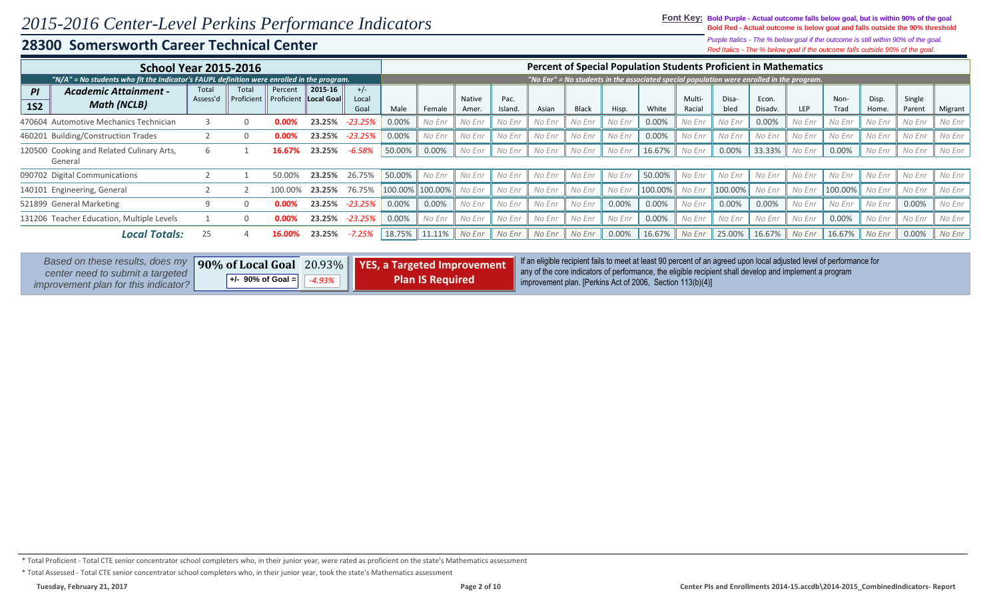**Font Key: Bold Purple - Actual outcome falls below goal, but is within 90% of the goal Bold Red - Actual outcome is below goal and falls outside the 90% threshold**

> *Red Italics - The % below goal if the outcome falls outside 90% of the goal. Purple Italics - The % below goal if the outcome is still within 90% of the goal.*

|                  | <b>School Year 2015-2016</b>                                                               |                   |                     |                       |                       |                        |          |         |                 |                 |        |              |        | <b>Percent of Special Population Students Proficient in Mathematics</b>                   |                  |               |                  |            |              |                |                  |         |
|------------------|--------------------------------------------------------------------------------------------|-------------------|---------------------|-----------------------|-----------------------|------------------------|----------|---------|-----------------|-----------------|--------|--------------|--------|-------------------------------------------------------------------------------------------|------------------|---------------|------------------|------------|--------------|----------------|------------------|---------|
|                  | "N/A" = No students who fit the Indicator's FAUPL definition were enrolled in the program. |                   |                     |                       |                       |                        |          |         |                 |                 |        |              |        | "No Enr" = No students in the associated special population were enrolled in the program. |                  |               |                  |            |              |                |                  |         |
| PI<br><b>1S2</b> | <b>Academic Attainment -</b><br><b>Math (NCLB)</b>                                         | Total<br>Assess'd | Total<br>Proficient | Percent<br>Proficient | 2015-16<br>Local Goal | $+/-$<br>Local<br>Goal | Male     | Female  | Native<br>Amer. | Pac.<br>Island. | Asian  | <b>Black</b> | Hisp.  | White                                                                                     | Multi-<br>Racial | Disa-<br>bled | Econ.<br>Disadv. | <b>LEP</b> | Non-<br>Trad | Disp.<br>Home. | Single<br>Parent | Migrant |
|                  | 470604 Automotive Mechanics Technician                                                     |                   |                     |                       | 23.25%                | $-23.25%$              | 0.00%    | No Enr  | No Enr          | No Enr          | No Enr | No Enr       | No Enr | 0.00%                                                                                     | No Enr           | No Enr        | 0.00%            | No Enr     | No Enr       | No Enr         | No Enr           | No Enr  |
|                  | 460201 Building/Construction Trades                                                        |                   |                     |                       | 23.25%                | -23.25%                | 0.00%    | No Enr  | No Enr          | No Enr          | No Enr | No Enr       | No Enr | 0.00%                                                                                     | No Enr           | No Enr        | No Enr           | No Enr     | No Enr       | No Enr         | No Enr           | No Enr  |
|                  | 120500 Cooking and Related Culinary Arts,<br>General                                       |                   |                     | 16.67%                | 23.25%                | $-6.58%$               | 50.00%   | 0.00%   | No Enr          | No Enr          | No Enr | No Enr       | No Enr | 16.67%                                                                                    | No Enr           | 0.00%         | 33.33%           | No Enr     | 0.00%        | No Enr         | No Enr           | No Enr  |
|                  | 090702 Digital Communications                                                              |                   |                     | 50.00                 | 23.25%                | 26.75%                 | 50.00%   | No Enr  | No Enr          | No Enr          | No Enr | No Enr       | No Enr | 50.00%                                                                                    | No Enr           | No Enr        | No Enr           | No Enr     | No Enr       | No Enr         | No Enr           | No Enr  |
|                  | 140101 Engineering, General                                                                |                   |                     |                       | 23.25%                | 76.75%                 | 100.00%  | 100.00% | No Enr          | No Enr          | No Enr | No Enr       | No Enr | 100.00%                                                                                   | No Enr           | 100.00%       | No Enr           | No Enr     | 100.00%      | No Enr         | No Enr           | No Enr  |
|                  | 521899 General Marketing                                                                   |                   |                     |                       | 23.25%                | -23.25%                | 0.00%    | 0.00%   | No Enr          | No Enr          | No Enr | No Enr       | 0.00%  | 0.00%                                                                                     | No Enr           | 0.00%         | 0.00%            | No Enr     | No Enr       | No Enr         | 0.00%            | No Enr  |
|                  | 131206 Teacher Education, Multiple Levels                                                  |                   |                     |                       | 23.25%                | $-23.25%$              | $0.00\%$ | No Enr  | No Enr          | No Enr          | No Enr | No Enr       | No Enr | 0.00%                                                                                     | No Enr           | No Enr        | No Enr           | No Enr     | 0.00%        | No Enr         | No Enr           | No Enr  |
|                  | Local Totals:                                                                              | 25                |                     |                       | 23.25%                | $-7.25%$               | 18.75%   | 11.11%  | No Enr          | No Enr          | No Enr | No Enr       | 0.00%  | 16.67%                                                                                    | No Enr           | 25.00%        | 16.67%           | No Enr     | 16.67%       | No Enr         | 0.00%            | No Enr  |

| Based on these results, does my                                          |                     |       | 90% of Local Goal 20.93%   YES, a Targeted Improvement | If an eligible recipient fails to meet at least 90 percent of an agreed upon local adjusted level of performance for                                                  |
|--------------------------------------------------------------------------|---------------------|-------|--------------------------------------------------------|-----------------------------------------------------------------------------------------------------------------------------------------------------------------------|
| center need to submit a targeted<br>improvement plan for this indicator? | $+/-$ 90% of Goal = | 4.93% | <b>Plan IS Required</b>                                | any of the core indicators of performance, the eligible recipient shall develop and implement a program<br>improvement plan. [Perkins Act of 2006, Section 113(b)(4)] |

\* Total Proficient - Total CTE senior concentrator school completers who, in their junior year, were rated as proficient on the state's Mathematics assessment

\* Total Assessed - Total CTE senior concentrator school completers who, in their junior year, took the state's Mathematics assessment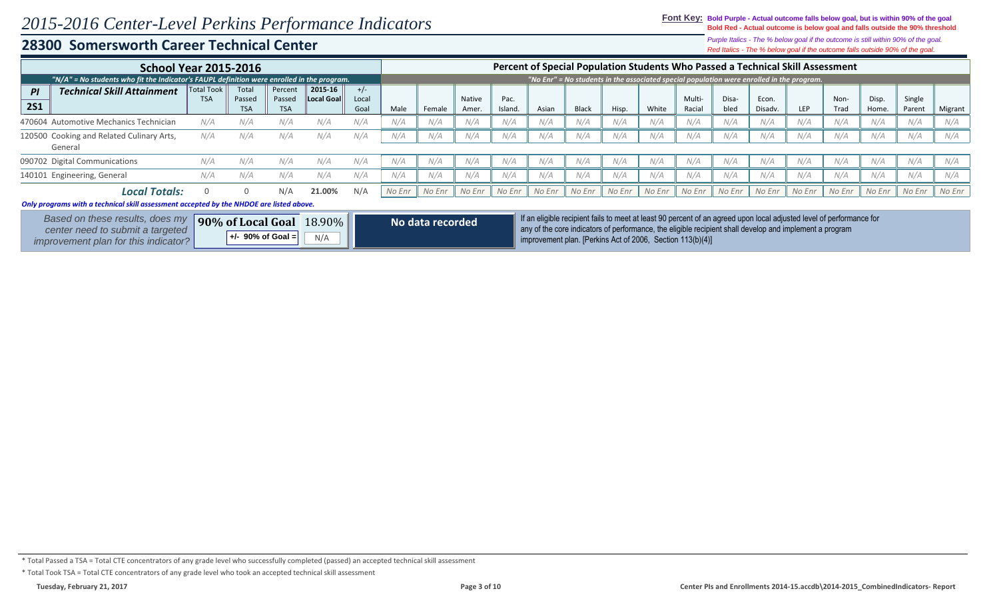### **Font Key: Bold Purple - Actual outcome falls below goal, but is within 90% of the goal Bold Red - Actual outcome is below goal and falls outside the 90% threshold**

*Red Italics - The % below goal if the outcome falls outside 90% of the goal. Purple Italics - The % below goal if the outcome is still within 90% of the goal.*

|            | <b>School Year 2015-2016</b>                                                               |                                 |                 |                   |                              |                |        |                  |        |         |        |              |        |        |        |        | Percent of Special Population Students Who Passed a Technical Skill Assessment                                       |            |        |        |        |         |
|------------|--------------------------------------------------------------------------------------------|---------------------------------|-----------------|-------------------|------------------------------|----------------|--------|------------------|--------|---------|--------|--------------|--------|--------|--------|--------|----------------------------------------------------------------------------------------------------------------------|------------|--------|--------|--------|---------|
|            | "N/A" = No students who fit the Indicator's FAUPL definition were enrolled in the program. |                                 |                 |                   |                              |                |        |                  |        |         |        |              |        |        |        |        | "No Enr" = No students in the associated special population were enrolled in the program.                            |            |        |        |        |         |
| PI         | <b>Technical Skill Attainment</b>                                                          | <b>Total Took</b><br><b>TSA</b> | Total<br>Passed | Percent<br>Passed | 2015-16<br><b>Local Goal</b> | $+/-$<br>Local |        |                  | Native | Pac.    |        |              |        |        | Multi- | Disa-  | Econ.                                                                                                                |            | Non-   | Disp.  | Single |         |
| <b>2S1</b> |                                                                                            |                                 | <b>TSA</b>      | <b>TSA</b>        |                              | Goal           | Male   | Female           | Amer.  | Island. | Asian  | <b>Black</b> | Hisp.  | White  | Racial | bled   | Disadv.                                                                                                              | <b>LEP</b> | Trad   | Home.  | Parent | Migrant |
|            | 470604 Automotive Mechanics Technician                                                     | N/A                             | N/A             | N/A               | N/A                          | N/A            | N/A    | N/A              | N/A    | N/A     | N/A    | N/A          | N/A    | N/A    | N/A    | N/A    | N/A                                                                                                                  | N/A        | N/A    |        |        |         |
|            | 120500 Cooking and Related Culinary Arts,<br>General                                       | N/A                             | N/A             | N/A               | N/A                          | N/A            | N/A    | N/A              | N/A    | N/A     | N/A    | N/A          | N/A    | N/A    | N/A    | N/A    | N/A                                                                                                                  | N/A        | N/A    |        |        |         |
|            | 090702 Digital Communications                                                              | N/A                             | N/A             | N/A               | N/A                          | N/A            | N/A    | N/A              | N/A    | N/A     | N/A    | N/A          | N/A    | N/A    | N/A    | N/A    | N/A                                                                                                                  | N/A        | N/A    | N/A    | N/A    | N/A     |
|            | 140101 Engineering, General                                                                | N/A                             | N/A             | N/A               | N/A                          | N/A            | N/A    | N/A              | N/A    | N/A     | N/A    | N/A          | N/A    | N/A    | N/A    | N/A    | N/A                                                                                                                  | N/A        | N/A    | N/A    | N/A    | N/A     |
|            | <b>Local Totals:</b>                                                                       |                                 | $\Omega$        | N/A               | 21.00%                       | N/A            | No Enr | No Enr           | No Enr | No Enr  | No Enr | No Enr       | No Enr | No Enr | No Enr | No Enr | No Enr                                                                                                               | No Enr     | No Enr | No Enr | No Enr | No Enr  |
|            | Only programs with a technical skill assessment accepted by the NHDOE are listed above.    |                                 |                 |                   |                              |                |        |                  |        |         |        |              |        |        |        |        |                                                                                                                      |            |        |        |        |         |
|            | Based on these results, does my                                                            |                                 |                 | 90% of Local Goal | $18.90\%$                    |                |        | No data recorded |        |         |        |              |        |        |        |        | If an eligible recipient fails to meet at least 90 percent of an agreed upon local adjusted level of performance for |            |        |        |        |         |

*Based on these results, does my center need to submit a targeted improvement plan for this indicator?* **90% of Local Goal**   $+/-$  90% of Goal =

18.90% **No data recorded** if an eligible recipient fails to meet at least 90 percent of an agreed upon local adjusted level of performance for<br>any of the core indicators of performance, the eligible recipient shall develop improvement plan. [Perkins Act of 2006, Section 113(b)(4)] **+/- 90% of Goal =** N/A

### \* Total Passed a TSA = Total CTE concentrators of any grade level who successfully completed (passed) an accepted technical skill assessment

\* Total Took TSA = Total CTE concentrators of any grade level who took an accepted technical skill assessment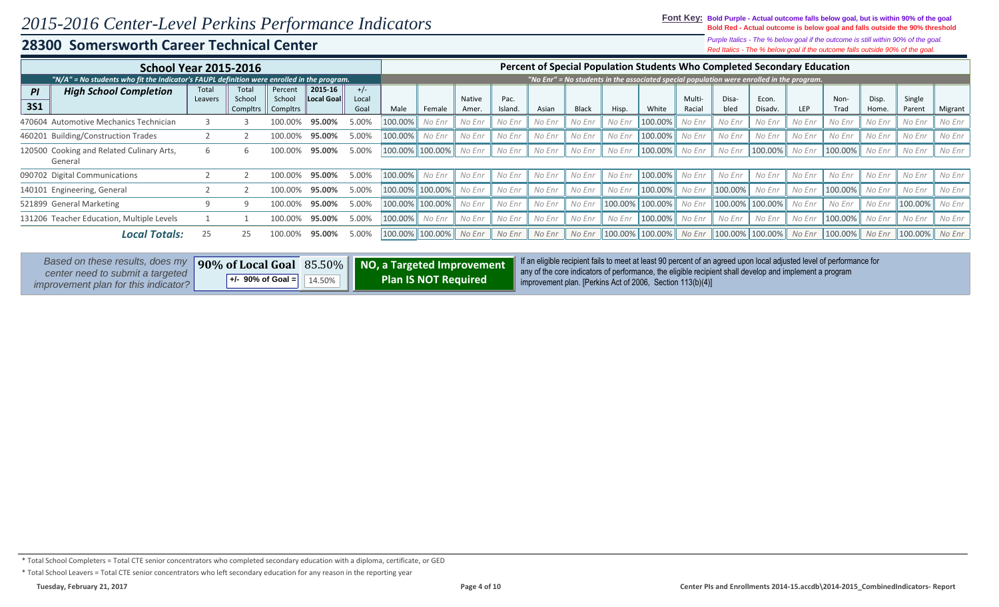**Font Key: Bold Purple - Actual outcome falls below goal, but is within 90% of the goal Bold Red - Actual outcome is below goal and falls outside the 90% threshold**

*Red Italics - The % below goal if the outcome falls outside 90% of the goal. Purple Italics - The % below goal if the outcome is still within 90% of the goal.*

| <b>School Year 2015-2016</b>                                                               |                            |                             |                               |                       |                        |         |                   |                        |                 |        |              |         | Percent of Special Population Students Who Completed Secondary Education                  |                  |               |                              |        |              |                |                  |         |
|--------------------------------------------------------------------------------------------|----------------------------|-----------------------------|-------------------------------|-----------------------|------------------------|---------|-------------------|------------------------|-----------------|--------|--------------|---------|-------------------------------------------------------------------------------------------|------------------|---------------|------------------------------|--------|--------------|----------------|------------------|---------|
| "N/A" = No students who fit the Indicator's FAUPL definition were enrolled in the program. |                            |                             |                               |                       |                        |         |                   |                        |                 |        |              |         | "No Enr" = No students in the associated special population were enrolled in the program. |                  |               |                              |        |              |                |                  |         |
| <b>High School Completion</b><br>PI<br><b>3S1</b>                                          | Total<br>Leavers           | Total<br>School<br>Compltrs | Percent<br>School<br>Compltrs | 2015-16<br>Local Goal | $+/-$<br>Local<br>Goal | Male    | Female            | <b>Native</b><br>Amer. | Pac.<br>Island. | Asian  | <b>Black</b> | Hisp.   | White                                                                                     | Multi-<br>Racial | Disa-<br>bled | Econ.<br>Disadv.             | LEP    | Non-<br>Trad | Disp.<br>Home. | Single<br>Parent | Migrant |
| 470604 Automotive Mechanics Technician                                                     |                            |                             |                               | 95.00%                | 5.00%                  | 100.00% | No Enr            | No Enr                 | No Enr          | No Enr | No Enr       | No Enr  | 100.00%                                                                                   | No Enr           | No Enr        | No Enr                       | No Enr | No Enr       | No Enr         | No Enr           | No Enr  |
| 460201 Building/Construction Trades                                                        | 95.00%<br>5.00%<br>100.00% |                             |                               |                       |                        |         | 100.00%<br>No Enr | No Enr                 | No Enr          | No Enr | No Enr       | No Enr  | 100.00%                                                                                   | No Enr           | No Enr        | No Enr                       | No Enr | No Enr       | No Enr         | No Enr           | No Enr  |
| 120500 Cooking and Related Culinary Arts,<br>General                                       | b                          |                             | 100.00%                       | 95.00%                | 5.00%                  | 100.00% | 100.00%           | No Enr                 | No Enr          | No Enr | No Enr       | No Enr  | $100.00\%$                                                                                | No Enr           | No Enr        | 100.00%                      | No Enr | 100.00%      | No Enr         | No Enr           | No Enr  |
| 090702 Digital Communications                                                              |                            |                             | 100.00%                       | 95.00%                | 5.00%                  | 100.00% | No Enr            | No Enr                 | No Enr          | No Enr | No Enr       | No Enr  | 100.00%                                                                                   | No Enr           | No Enr        | No Enr                       | No Enr | No Enr       | No Enr         | No Enr           | No Enr  |
| 140101 Engineering, General                                                                |                            |                             |                               | 95.00%                | 5.00%                  | 100.00% | 100.00%           | No Enr                 | No Enr          | No Enr | No Enr       | No Enr  | $100.00\%$                                                                                | No Enr           | 100.00%       | No Enr                       | No Enr | 100.00%      | No Enr         | No Enr           | No Enr  |
| 521899 General Marketing                                                                   |                            |                             | 100.00%                       | 95.00%                | 5.00%                  | 100.00% | 100.00%           | No Enr                 | No Enr          | No Enr | No Enr       | 100.00% | 100.00%                                                                                   | No Enr           | 100.00%       | 100.00%                      | No Enr | No Enr       | No Enr         | 100.00%          | No Enr  |
| 131206 Teacher Education, Multiple Levels                                                  |                            |                             | 100.00%                       | 95.00%                | 5.00%                  | 100.00% | No Enr            | No Enr                 | No Enr          | No Enr | No Enr       | No Enr  | $100.00\%$                                                                                | No Enr           | No Enr        | No Enr                       | No Enr | 100.00%      | No Enr         | No Enr           | No Enr  |
| Totals:<br>Local                                                                           | 25.                        | 25                          | 100.00%                       | 95.00%                | 5.00%                  | 100.00% | 100.00%           | No Enr                 | No Enr          | No Enr | No Enr       | 100.00% | 100.00% No Enr                                                                            |                  |               | 100.00%    100.00%    No Enr |        | $100.00\%$   | No Enr         | 100.00%   No Enr |         |

| Based on these results, does my                                                 |                               | 90% of Local Goal 85.50%    NO, a Targeted Improvement | If an eligible recipient fails to meet at least 90 percent of an agreed upon local adjusted level of performance for<br>any of the core indicators of performance, the eligible recipient shall develop and implement a program |
|---------------------------------------------------------------------------------|-------------------------------|--------------------------------------------------------|---------------------------------------------------------------------------------------------------------------------------------------------------------------------------------------------------------------------------------|
| center need to submit a targeted<br><i>improvement plan for this indicator?</i> | $+/-$ 90% of Goal = $14.50\%$ | <b>Plan IS NOT Required</b>                            | improvement plan. [Perkins Act of 2006, Section $113(b)(4)$ ]                                                                                                                                                                   |

<sup>\*</sup> Total School Completers = Total CTE senior concentrators who completed secondary education with a diploma, certificate, or GED

<sup>\*</sup> Total School Leavers = Total CTE senior concentrators who left secondary education for any reason in the reporting year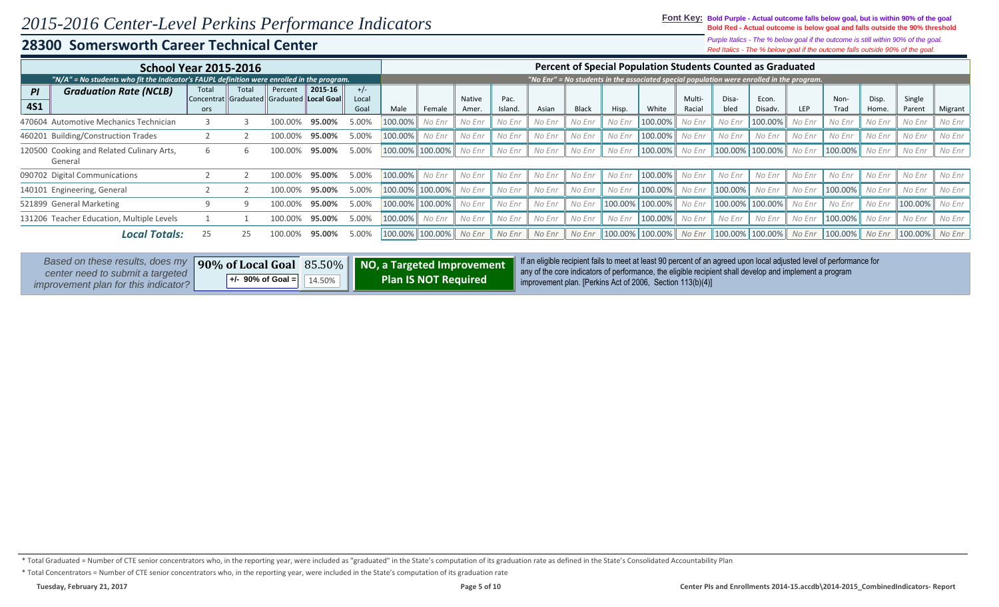### **Font Key: Bold Purple - Actual outcome falls below goal, but is within 90% of the goal Bold Red - Actual outcome is below goal and falls outside the 90% threshold**

*Red Italics - The % below goal if the outcome falls outside 90% of the goal. Purple Italics - The % below goal if the outcome is still within 90% of the goal.*

|            | <b>School Year 2015-2016</b>                                                               |       |                                                 |         |         |         |         |         |               |         |        |              |         | Percent of Special Population Students Counted as Graduated                               |        |         |                      |        |                  |        |            |         |
|------------|--------------------------------------------------------------------------------------------|-------|-------------------------------------------------|---------|---------|---------|---------|---------|---------------|---------|--------|--------------|---------|-------------------------------------------------------------------------------------------|--------|---------|----------------------|--------|------------------|--------|------------|---------|
|            | "N/A" = No students who fit the Indicator's FAUPL definition were enrolled in the program. |       |                                                 |         |         |         |         |         |               |         |        |              |         | "No Enr" = No students in the associated special population were enrolled in the program. |        |         |                      |        |                  |        |            |         |
| ΡI         | <b>Graduation Rate (NCLB)</b>                                                              | Total | Total                                           | Percent | 2015-16 | $+/-$   |         |         |               |         |        |              |         |                                                                                           |        |         |                      |        |                  |        |            |         |
|            |                                                                                            |       | Concentrat   Graduated   Graduated   Local Goal |         |         | Local   |         |         | <b>Native</b> | Pac.    |        |              |         |                                                                                           | Multi- | Disa-   | Econ.                |        | Non-             | Disp.  | Single     |         |
| <b>4S1</b> |                                                                                            | ors   |                                                 |         |         | Goal    | Male    | Female  | Amer.         | Island. | Asian  | <b>Black</b> | Hisp.   | White                                                                                     | Racial | bled    | Disadv.              | LEP    | Trad             | Home.  | Parent     | Migrant |
|            | 470604 Automotive Mechanics Technician                                                     |       | 100.00%                                         | 95.00%  | 5.00%   | 100.00% | No Enr  | No Enr  | No Enr        | No Enr  | No Enr | No Enr       | 100.00% | No Enr                                                                                    | No Enr | 100.00% | No Enr               | No Enr | No Enr           | No Enr | No Enr     |         |
|            | 460201 Building/Construction Trades                                                        | 5.00% | 100.00%                                         | No Enr  | No Enr  | No Enr  | No Enr  | No Enr  | No Enr        | 100.00% | No Enr | No Enr       | No Enr  | No Enr                                                                                    | No Enr | No Enr  | No Enr               | No Enr |                  |        |            |         |
|            | 100.00%<br>120500 Cooking and Related Culinary Arts,<br>100.00%<br>b                       |       |                                                 |         | 95.00%  | 5.00%   | 100.00% | 100.00% | No Enr        | No Enr  | No Enr | No Enr       | No Enr  | 100.00%                                                                                   | No Enr |         | 100.00% 100.00%      | No Enr | 100.00%          | No Enr | No Enr     | No Enr  |
|            | General                                                                                    |       |                                                 |         |         |         |         |         |               |         |        |              |         |                                                                                           |        |         |                      |        |                  |        |            |         |
|            | 090702 Digital Communications                                                              |       |                                                 | 100.00% | 95.00%  | 5.00%   | 100.00% | No Enr  | No Enr        | No Enr  | No Enr | No Enr       | No Enr  | 100.00% No Enr                                                                            |        | No Enr  | No Enr               | No Enr | No Enr           | No Enr | No Enr     | No Enr  |
|            | 140101 Engineering, General                                                                |       |                                                 | 100.00% | 95.00%  | 5.00%   | 100.00% | 100.00% | No Enr        | No Enr  | No Enr | No Enr       | No Enr  | $100.00\%$                                                                                | No Enr | 100.00% | No Enr               | No Enr | 100.00%          | No Enr | No Enr     | No Enr  |
|            | 521899 General Marketing                                                                   |       |                                                 | 100.00% | 95.00%  | 5.00%   | 100.00% | 100.00% | No Enr        | No Enr  | No Enr | No Enr       | 100.00% | 100.00%                                                                                   | No Enr | 100.00% | 100.00%              | No Enr | No Enr           | No Enr | 100.00%    | No Enr  |
|            | 131206 Teacher Education, Multiple Levels                                                  |       |                                                 | 100.00% | 95.00%  | 5.00%   | 100.00% | No Enr  | No Enr        | No Enr  | No Enr | No Enr       | No Enr  | 100.00%                                                                                   | No Enr | No Enr  | No Enr               | No Enr | 100.00%          | No Enr | No Enr     | No Enr  |
|            | Local Totals:                                                                              |       | 25                                              | LOO.OO% | 95.00%  | 5.00%   | 100.00% | 100.00% | No Enr        | No Enr  | No Enr | No Enr       |         | 100.00%    100.00%    No Enr                                                              |        |         | $\ 100.00\%$ 100.00% | No Enr | 100.00%   No Enr |        | $100.00\%$ | No Enr  |

| Based on these results, does my                                          |                                                              |                             | my 90% of Local Goal 85.50% NO, a Targeted Improvement finan eligible recipient fails to meet at least 90 percent of an agreed upon local adjusted level of performance for<br>any of the core indicators of performance, the eligible recipient shall develop and implement a program |
|--------------------------------------------------------------------------|--------------------------------------------------------------|-----------------------------|----------------------------------------------------------------------------------------------------------------------------------------------------------------------------------------------------------------------------------------------------------------------------------------|
| center need to submit a targeted<br>improvement plan for this indicator? | $\left  +1 - 90\% \text{ of } \text{Goal} = \right  14.50\%$ | <b>Plan IS NOT Required</b> | improvement plan. [Perkins Act of 2006, Section $113(b)(4)$ ]                                                                                                                                                                                                                          |

\* Total Graduated = Number of CTE senior concentrators who, in the reporting year, were included as "graduated" in the State's computation of its graduation rate as defined in the State's Consolidated Accountability Plan

\* Total Concentrators = Number of CTE senior concentrators who, in the reporting year, were included in the State's computation of its graduation rate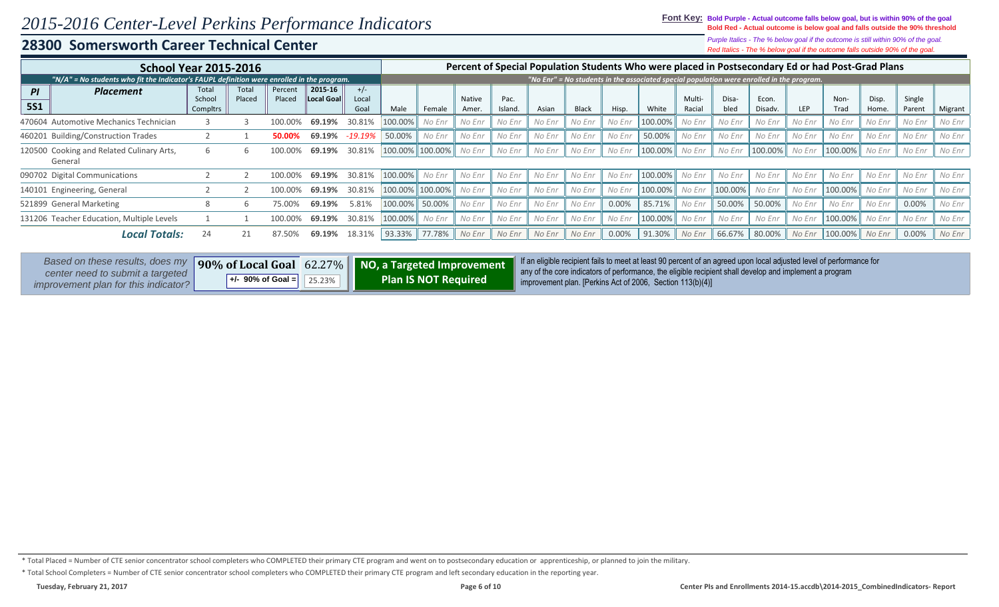**Font Key: Bold Purple - Actual outcome falls below goal, but is within 90% of the goal Bold Red - Actual outcome is below goal and falls outside the 90% threshold**

## **28300 Somersworth Career Technical Center**

*Red Italics - The % below goal if the outcome falls outside 90% of the goal. Purple Italics - The % below goal if the outcome is still within 90% of the goal.*

|                         | <b>School Year 2015-2016</b>                                                               |                             |                 |                   |                       |                        |         |                 |                        |                 |        |              |        | Percent of Special Population Students Who were placed in Postsecondary Ed or had Post-Grad Plans |                  |               |                  |            |              |                |                  |         |
|-------------------------|--------------------------------------------------------------------------------------------|-----------------------------|-----------------|-------------------|-----------------------|------------------------|---------|-----------------|------------------------|-----------------|--------|--------------|--------|---------------------------------------------------------------------------------------------------|------------------|---------------|------------------|------------|--------------|----------------|------------------|---------|
|                         | "N/A" = No students who fit the Indicator's FAUPL definition were enrolled in the program. |                             |                 |                   |                       |                        |         |                 |                        |                 |        |              |        | "No Enr" = No students in the associated special population were enrolled in the program.         |                  |               |                  |            |              |                |                  |         |
| <b>PI</b><br><b>5S1</b> | <b>Placement</b>                                                                           | Total<br>School<br>Compltrs | Total<br>Placed | Percent<br>Placed | 2015-16<br>Local Goal | $+/-$<br>Local<br>Goal | Male    | Female          | <b>Native</b><br>Amer. | Pac.<br>Island. | Asian  | <b>Black</b> | Hisp.  | White                                                                                             | Multi-<br>Racial | Disa-<br>bled | Econ.<br>Disadv. | <b>LEP</b> | Non-<br>Trad | Disp.<br>Home. | Single<br>Parent | Migrant |
|                         | 470604 Automotive Mechanics Technician                                                     |                             |                 |                   | 69.19%                | 30.81%                 | 100.00% | No Enr          | No Enr                 | No Enr          | No Enr | No Enr       | No Enr | 100.00%                                                                                           | No Enr           | No Enr        | No Enr           | No Enr     | No Enr       | No Enr         | No Enr           | No Enr  |
|                         | 460201 Building/Construction Trades                                                        | -19.19%                     | 50.00%          | No Enr            | No Enr                | No Enr                 | No Enr  | No Enr          | No Enr                 | 50.00%          | No Enr | No Enr       | No Enr | No Enr                                                                                            | No Enr           | No Enr        | No Enr           | No Enr     |              |                |                  |         |
|                         | 120500 Cooking and Related Culinary Arts,<br>General                                       |                             | h               |                   | 69.19%                | 30.81%                 |         | 100.00% 100.00% | No Enr                 | No Enr          | No Enr | No Enr       | No Enr | 100.00%                                                                                           | No Enr           | No Enr        | 100.00%          | No Enr     | 100.00%      | No Enr         | No Enr           | No Enr  |
|                         | 090702 Digital Communications                                                              |                             |                 | 100.00%           | 69.19%                | 30.81%                 | 100.00% | No Enr          | No Enr                 | No Enr          | No Enr | No Enr       | No Enr | 100.00%                                                                                           | No Enr           | No Enr        | No Enr           | No Enr     | No Enr       | No Enr         | No Enr           | No Enr  |
|                         | 140101 Engineering, General                                                                |                             |                 |                   | 69.19%                | 30.81%                 | 100.00% | $100.00\%$      | No Enr                 | No Enr          | No Enr | No Enr       | No Enr | 100.00%                                                                                           | No Enr           | 100.00%       | No Enr           | No Enr     | 100.00%      | No Enr         | No Enr           | No Enr  |
|                         | 521899 General Marketing                                                                   |                             | h               | 75.00%            | 69.19%                | 5.81%                  | 100.00% | 50.00%          | No Enr                 | No Enr          | No Enr | No Enr       | 0.00%  | 85.71%                                                                                            | No Enr           | 50.00%        | 50.00%           | No Enr     | No Enr       | No Enr         | 0.00%            | No Enr  |
|                         | 131206 Teacher Education, Multiple Levels                                                  |                             |                 |                   | 69.19%                | 30.81%                 | 100.00% | No Enr          | No Enr                 | No Enr          | No Enr | No Enr       | No Enr | 100.00%                                                                                           | No Enr           | No Enr        | No Enr           | No Enr     | 100.00%      | No Enr         | No Enr           | No Enr  |
|                         | Local Totals.                                                                              | 24                          |                 | 87.50%            | 69.19%                | 18.31%                 | 93.33%  | 77.78%          | No Enr                 | No Enr          | No Enr | No Enr       | 0.00%  | 91.30%                                                                                            | No Enr           | 66.67%        | 80.00%           | No Enr     | 100.00%      | No Enr         | $0.00\%$         | No Enr  |

| Based on these results, does my                                          |                       |                        | 90% of Local Goal 62.27%   NO, a Targeted Improvement | If an eligible recipient fails to meet at least 90 percent of an agreed upon local adjusted level of performance for                                                              |
|--------------------------------------------------------------------------|-----------------------|------------------------|-------------------------------------------------------|-----------------------------------------------------------------------------------------------------------------------------------------------------------------------------------|
| center need to submit a targeted<br>improvement plan for this indicator? | $+/-$ 90% of Goal $=$ | $\vert$ 25.23% $\vert$ | <b>Plan IS NOT Required</b>                           | $\parallel$ any of the core indicators of performance, the eligible recipient shall develop and implement a program<br>improvement plan. [Perkins Act of 2006, Section 113(b)(4)] |

\* Total School Completers = Number of CTE senior concentrator school completers who COMPLETED their primary CTE program and left secondary education in the reporting year.

<sup>\*</sup> Total Placed = Number of CTE senior concentrator school completers who COMPLETED their primary CTE program and went on to postsecondary education or apprenticeship, or planned to join the military.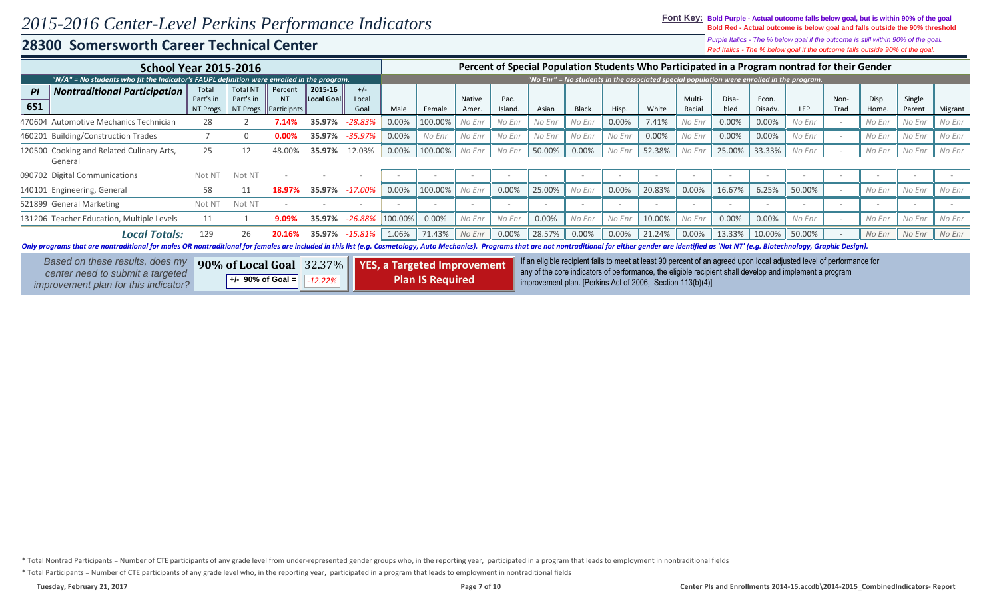**Font Key: Bold Purple - Actual outcome falls below goal, but is within 90% of the goal Bold Red - Actual outcome is below goal and falls outside the 90% threshold**

*Red Italics - The % below goal if the outcome falls outside 90% of the goal. Purple Italics - The % below goal if the outcome is still within 90% of the goal.*

| <b>School Year 2015-2016</b>                                                                                                                                                                                                  |                                |                                          |                                     |                       |                        |          |                                                               |                        |                 |                                                            |              |                          |        |                  |               |                  | Percent of Special Population Students Who Participated in a Program nontrad for their Gender                                                                                                                                   |              |                |                  |         |
|-------------------------------------------------------------------------------------------------------------------------------------------------------------------------------------------------------------------------------|--------------------------------|------------------------------------------|-------------------------------------|-----------------------|------------------------|----------|---------------------------------------------------------------|------------------------|-----------------|------------------------------------------------------------|--------------|--------------------------|--------|------------------|---------------|------------------|---------------------------------------------------------------------------------------------------------------------------------------------------------------------------------------------------------------------------------|--------------|----------------|------------------|---------|
| "N/A" = No students who fit the Indicator's FAUPL definition were enrolled in the program.                                                                                                                                    |                                |                                          |                                     |                       |                        |          |                                                               |                        |                 |                                                            |              |                          |        |                  |               |                  | "No Enr" = No students in the associated special population were enrolled in the program.                                                                                                                                       |              |                |                  |         |
| <b>Nontraditional Participation</b><br>PI<br><b>6S1</b>                                                                                                                                                                       | Total<br>Part's in<br>NT Progs | <b>Total NT</b><br>Part's in<br>NT Progs | Percent<br><b>NT</b><br>Participnts | 2015-16<br>Local Goal | $+/-$<br>Local<br>Goal | Male     | Female                                                        | <b>Native</b><br>Amer. | Pac.<br>Island. | Asian                                                      | <b>Black</b> | Hisp.                    | White  | Multi-<br>Racial | Disa-<br>bled | Econ.<br>Disadv. | LEP                                                                                                                                                                                                                             | Non-<br>Trad | Disp.<br>Home. | Single<br>Parent | Migrant |
| 470604 Automotive Mechanics Technician                                                                                                                                                                                        | 28                             |                                          | 7.14%                               | 35.97%                | $-28.83%$              | $0.00\%$ | 100.00%                                                       | No Enr                 | No Enr          | No Enr                                                     | No Enr       | 0.00%                    | 7.41%  | No Enr           | $0.00\%$      | 0.00%            | No Enr                                                                                                                                                                                                                          |              | No Enr         | No Enr           | No Enr  |
| 460201 Building/Construction Trades                                                                                                                                                                                           |                                |                                          |                                     | 35.97%                | -35.97%                | 0.00%    | No Enr                                                        | No Enr                 | No Enr          | No Enr                                                     | No Enr       | No Enr                   | 0.00%  | No Enr           | 0.00%         | 0.00%            | No Enr                                                                                                                                                                                                                          |              | No Enr         | No Enr           | No Enr  |
| 120500 Cooking and Related Culinary Arts,<br>General                                                                                                                                                                          | 25                             | 12                                       | 48.00%                              | 35.97%                | 12.03%                 | 0.00%    | 100.00%                                                       | No Enr                 | No Enr          | 50.00%                                                     | 0.00%        | No Enr                   | 52.38% | No Enr           | 25.00%        | 33.33%           | No Enr                                                                                                                                                                                                                          |              | No Enr         | No Enr           | No Enr  |
| 090702 Digital Communications                                                                                                                                                                                                 | Not N <sub>1</sub>             | Not NT                                   |                                     |                       |                        |          |                                                               |                        |                 | $\sim$                                                     |              | $\overline{\phantom{a}}$ |        | $\sim$           |               |                  |                                                                                                                                                                                                                                 |              |                |                  |         |
| 140101 Engineering, General                                                                                                                                                                                                   | 58                             | 11                                       |                                     | 35.97%                | -17.00%                | 0.00%    | 100.00%                                                       | No Enr                 | 0.00%           | 25.00%                                                     | No Enr       | 0.00%                    | 20.83% | 0.00%            | 16.67%        | 6.25%            | 50.00%                                                                                                                                                                                                                          |              | No Enr         | No Enr           | No Enr  |
| 521899 General Marketing                                                                                                                                                                                                      | Not NT                         | Not NT                                   |                                     |                       |                        |          |                                                               |                        |                 |                                                            |              |                          |        |                  |               |                  |                                                                                                                                                                                                                                 |              |                |                  |         |
| 131206 Teacher Education, Multiple Levels                                                                                                                                                                                     | 11                             |                                          | 9.09%                               | 35.97%                | -26.88%                | 100.00%  | 0.00%                                                         | No Enr                 | No Enr          | 0.00%                                                      | No Enr       | No Enr                   | 10.00% | No Enr           | 0.00%         | 0.00%            | No Enr                                                                                                                                                                                                                          |              | No Enr         | No Enr           | No Enr  |
| <b>Local Totals:</b>                                                                                                                                                                                                          | 129                            | 26                                       | 20.16%                              | 35.97%                | -15.81%                | 1.06%    | 71.43%                                                        | No Enr                 | 0.00%           | 28.57%                                                     | 0.00%        | 0.00%                    | 21.24% | 0.00%            | 13.33%        | 10.00%           | 50.00%                                                                                                                                                                                                                          |              | No Enr         | No Enr           | No Enr  |
| Only programs that are nontraditional for males OR nontraditional for females are included in this list (e.g. Cosmetology, Auto Mechanics). Programs that are not nontraditional for either gender are identified as 'Not NT' |                                |                                          |                                     |                       |                        |          |                                                               |                        |                 |                                                            |              |                          |        |                  |               |                  |                                                                                                                                                                                                                                 |              |                |                  |         |
| Based on these results, does my<br>center need to submit a targeted<br>improvement plan for this indicator?                                                                                                                   |                                | +/- 90% of Goal $=$                      | $90\%$ of Local Goal 32.37%         | $-12.22%$             |                        |          | <b>YES, a Targeted Improvement</b><br><b>Plan IS Required</b> |                        |                 | improvement plan. [Perkins Act of 2006, Section 113(b)(4)] |              |                          |        |                  |               |                  | If an eligible recipient fails to meet at least 90 percent of an agreed upon local adjusted level of performance for<br>any of the core indicators of performance, the eligible recipient shall develop and implement a program |              |                |                  |         |

\* Total Nontrad Participants = Number of CTE participants of any grade level from under-represented gender groups who, in the reporting year, participated in a program that leads to employment in nontraditional fields

\* Total Participants = Number of CTE participants of any grade level who, in the reporting year, participated in a program that leads to employment in nontraditional fields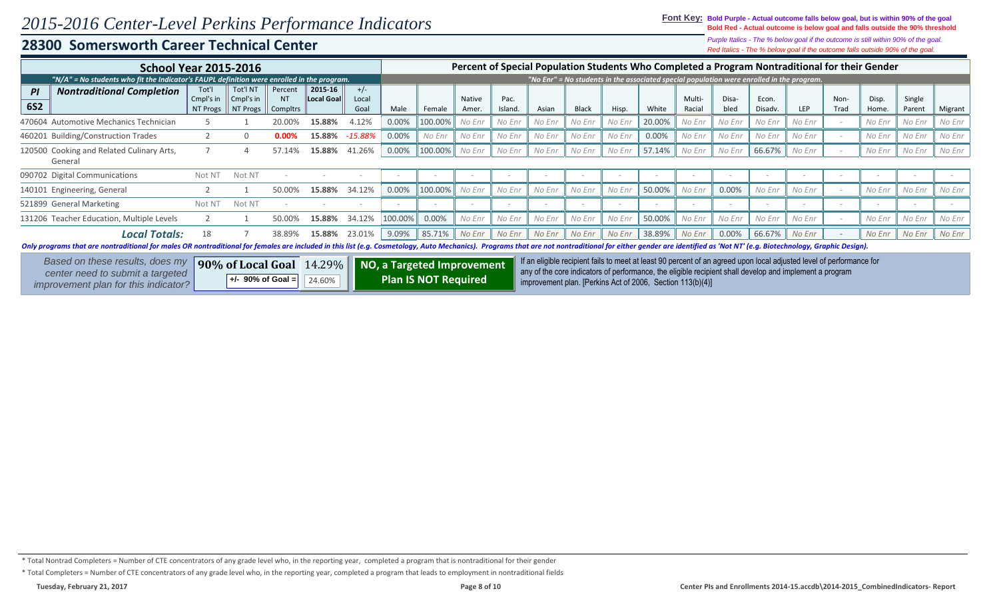**Font Key: Bold Purple - Actual outcome falls below goal, but is within 90% of the goal Bold Red - Actual outcome is below goal and falls outside the 90% threshold**

### **28300 Somersworth Career Technical Center**

*Red Italics - The % below goal if the outcome falls outside 90% of the goal. Purple Italics - The % below goal if the outcome is still within 90% of the goal.*

|                  | <b>School Year 2015-2016</b>                                                                                                                                                                                                                          |                                |                                                     |                     |                              |                        |          |         |                        |                 |        |              |        |        |                  |               |                  | Percent of Special Population Students Who Completed a Program Nontraditional for their Gender                       |              |                |                  |         |
|------------------|-------------------------------------------------------------------------------------------------------------------------------------------------------------------------------------------------------------------------------------------------------|--------------------------------|-----------------------------------------------------|---------------------|------------------------------|------------------------|----------|---------|------------------------|-----------------|--------|--------------|--------|--------|------------------|---------------|------------------|----------------------------------------------------------------------------------------------------------------------|--------------|----------------|------------------|---------|
|                  | $N/A''$ = No students who fit the Indicator's FAUPL definition were enrolled in the program.                                                                                                                                                          |                                |                                                     |                     |                              |                        |          |         |                        |                 |        |              |        |        |                  |               |                  | "No Enr" = No students in the associated special population were enrolled in the program.                            |              |                |                  |         |
| PI<br><b>6S2</b> | <b>Nontraditional Completion</b>                                                                                                                                                                                                                      | Tot'l<br>Cmpl's in<br>NT Progs | Tot'l NT<br>Cmpl's in<br>NT Progs                   | Percent<br>Compltrs | 2015-16<br><b>Local Goal</b> | $+/-$<br>Local<br>Goal | Male     | Female  | <b>Native</b><br>Amer. | Pac.<br>Island. | Asian  | <b>Black</b> | Hisp.  | White  | Multi-<br>Racial | Disa-<br>bled | Econ.<br>Disadv. | LEP                                                                                                                  | Non-<br>Trad | Disp.<br>Home. | Single<br>Parent | Migrant |
|                  | 470604 Automotive Mechanics Technician                                                                                                                                                                                                                |                                |                                                     | 20.00%              | 15.88%                       | 4.12%                  | 0.00%    | 100.00% | No Enr                 | No Enr          | No Enr | No Enr       | No Enr | 20.00% | No Enr           | No Enr        | No Enr           | No Enr                                                                                                               |              | No Enr         | No Enr           | No Enr  |
|                  | 460201 Building/Construction Trades                                                                                                                                                                                                                   |                                | $\Omega$                                            | 0.00%               | 15.88%                       | -15.88%                | 0.00%    | No Enr  | No Enr                 | No Enr          | No Enr | No Enr       | No Enr | 0.00%  | No Enr           | No Enr        | No Enr           | No Enr                                                                                                               |              | No Enr         | No Enr           | No Enr  |
|                  | 120500 Cooking and Related Culinary Arts,<br>General                                                                                                                                                                                                  | 41.26%                         | $0.00\%$                                            | 100.00%             | No Enr                       | No Enr                 | No Enr   | No Enr  | No Enr                 | 57.14%          | No Enr | No Enr       | 66.67% | No Enr |                  | No Enr        | No Enr           | No Enr                                                                                                               |              |                |                  |         |
|                  | 090702 Digital Communications                                                                                                                                                                                                                         |                                |                                                     |                     |                              |                        |          |         |                        |                 |        |              |        |        |                  |               |                  |                                                                                                                      |              |                |                  |         |
|                  | 140101 Engineering, General                                                                                                                                                                                                                           |                                |                                                     | 50.00%              | 15.88%                       | 34.12%                 | $0.00\%$ | 100.00% | No Enr                 | No Enr          | No Enr | No Enr       | No Enr | 50.00% | No Enr           | 0.00%         | No Enr           | No Enr                                                                                                               |              | No Enr         | No Enr           | No Enr  |
|                  | 521899 General Marketing                                                                                                                                                                                                                              | Not N <sub>1</sub>             | Not NT                                              |                     |                              |                        |          |         |                        |                 |        |              | $\sim$ |        |                  |               |                  |                                                                                                                      |              |                |                  |         |
|                  | 131206 Teacher Education, Multiple Levels                                                                                                                                                                                                             | 15.88%                         | 34.12%                                              | 100.00%             | 0.00%                        | No Enr                 | No Enr   | No Enr  | No Enr                 | No Enr          | 50.00% | No Enr       | No Enr | No Enr | No Enr           |               | No Enr           | No Enr                                                                                                               | No Enr       |                |                  |         |
|                  | <b>Local Totals:</b><br>Only programs that are nontraditional for males OR nontraditional for females are included in this list (e.g. Cosmetology, Auto Mechanics). Programs that are not nontraditional for either gender are identified as 'Not NT' | 18                             |                                                     | 38.89%              | 15.88%                       | 23.01%                 | 9.09%    | 85.71%  | No Enr                 | No Enr          | No Enr | No Enr       | No Enr | 38.89% | No Enr           | $0.00\%$      | 66.67%           | No Enr                                                                                                               |              | No Enr         | No Enr           | No Enr  |
|                  | Based on these results, does my                                                                                                                                                                                                                       |                                | 90% of Local Goal 14.29% NO, a Targeted Improvement |                     |                              |                        |          |         |                        |                 |        |              |        |        |                  |               |                  | If an eligible recipient fails to meet at least 90 percent of an agreed upon local adjusted level of performance for |              |                |                  |         |

**90% of Local Goal**   $+/-$  90% of Goal = 14.29% NO, a Targeted Improvement any of the core indicators of performance, the eligible recipient fails and percent of an agreed upon local adjusted level of performance for 24.60% **| | Plan IS NOT Required** | improvement plan. [Perkins Act of 2006, Section 113(b)(4)] **NO, a Targeted Improvement Plan IS NOT Required** *center need to submit a targeted improvement plan for this indicator?*

\* Total Nontrad Completers = Number of CTE concentrators of any grade level who, in the reporting year, completed a program that is nontraditional for their gender

\* Total Completers = Number of CTE concentrators of any grade level who, in the reporting year, completed a program that leads to employment in nontraditional fields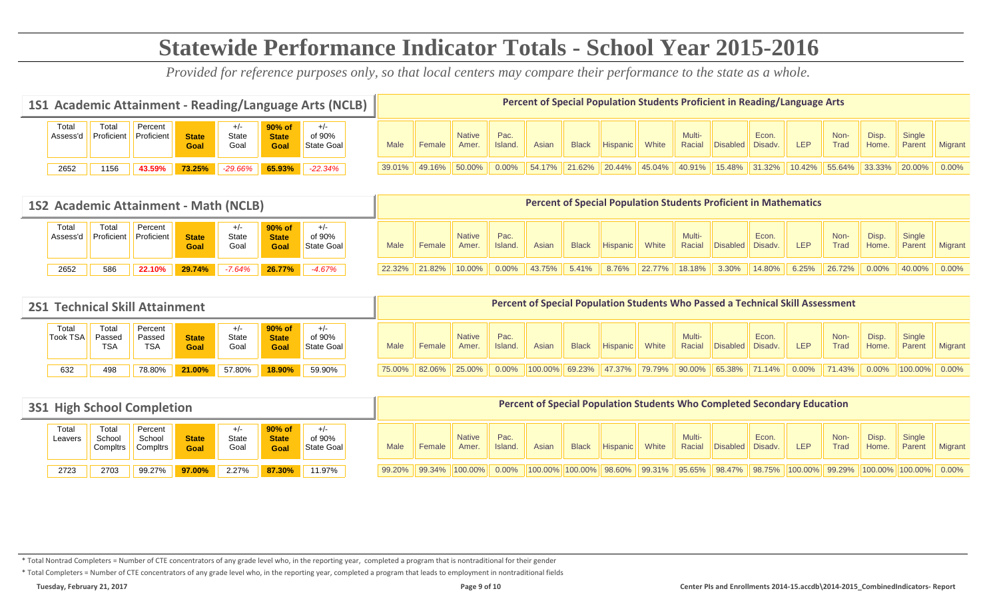# **Statewide Performance Indicator Totals - School Year 2015-2016**

*Provided for reference purposes only, so that local centers may compare their performance to the state as a whole.*

|                   |                           |                       |                      |                        |                                | 1S1 Academic Attainment - Reading/Language Arts (NCLB) |                                                                                                                                                                                                                 |        |        |          | Percent of Special Population Students Proficient in Reading/Language Arts |              |            |        |                  |         |        |        |        |        |        |          |
|-------------------|---------------------------|-----------------------|----------------------|------------------------|--------------------------------|--------------------------------------------------------|-----------------------------------------------------------------------------------------------------------------------------------------------------------------------------------------------------------------|--------|--------|----------|----------------------------------------------------------------------------|--------------|------------|--------|------------------|---------|--------|--------|--------|--------|--------|----------|
| Total<br>Assess'd | Tota.<br><b>Proficien</b> | Percent<br>Proficient | <b>State</b><br>Goal | $+/-$<br>State<br>Goal | 90% of<br><b>State</b><br>Goal | of 90%<br><b>State Goal</b>                            | Multi-<br>Non-<br>Econ.<br>Disp.<br><b>Native</b><br>Pac.<br>Trad<br>Racial<br><b>LEP</b><br><b>Hispanic</b><br>White<br>Asian<br><b>Black</b><br>Island<br>Disabled Disady.<br>Home.<br>Male<br>Female<br>Amer |        |        |          |                                                                            |              |            |        | Single<br>Parent | Migrant |        |        |        |        |        |          |
| 2652              | 1156                      | 43.59%                | 73.25%               | $-29.66%$              | 65.93%                         | $-22.34%$                                              | 39.01%                                                                                                                                                                                                          | 49.16% | 50.00% | $0.00\%$ | 54.17%                                                                     | $\  21.62\%$ | $120.44\%$ | 45.04% | 40.91%           | 15.48%  | 31.32% | 10.42% | 55.64% | 33.33% | 20.00% | $0.00\%$ |

|                   | 1S2 Academic Attainment - Math (NCLB) |                       |                      |                        |                      |          |        |                  |                 |          |              |                 |       |                  |          |                  | <b>Percent of Special Population Students Proficient in Mathematics</b> |              |                |                  |                |                   |
|-------------------|---------------------------------------|-----------------------|----------------------|------------------------|----------------------|----------|--------|------------------|-----------------|----------|--------------|-----------------|-------|------------------|----------|------------------|-------------------------------------------------------------------------|--------------|----------------|------------------|----------------|-------------------|
| Total<br>Assess'c | Total<br>Proficient                   | Percent<br>Proficient | <b>State</b><br>Goal | $+/-$<br>State<br>Goal | of 90%<br>State Goal | Male     | Female | Amer.            | Pac.<br>Island. | Asian    | <b>Black</b> | <b>Hispanic</b> | White | Multi-<br>Racial | Disabled | Econ.<br>Disadv. | <b>LEP</b>                                                              | Non-<br>Trad | Disp.<br>Home. | Single<br>Parent | <b>Migrant</b> |                   |
| 2652              | 586                                   | 22.10%                | 29.74%               | $-7.64%$               | 26.77%               | $-4.67%$ |        | $22.32\%$ 21.82% | 10.00%          | $0.00\%$ | 43.75%       | 5.41%           | 8.76% | 22.77%           | 18.18%   | 3.30%            | 14.80%                                                                  | 6.25%        | 26.72%         | $0.00\%$         | 40.00%         | $\parallel$ 0.00% |

| <b>2S1 Technical Skill Attainment</b> |                               |                                 |                      |               |                                   |                      |        |                                       |                        |                      | <b>Percent of Special Population Students Who Passed a Technical Skill Assessment</b> |              |                 |       |                  |                                                                                         |                  |     |                 |                |                  |                   |
|---------------------------------------|-------------------------------|---------------------------------|----------------------|---------------|-----------------------------------|----------------------|--------|---------------------------------------|------------------------|----------------------|---------------------------------------------------------------------------------------|--------------|-----------------|-------|------------------|-----------------------------------------------------------------------------------------|------------------|-----|-----------------|----------------|------------------|-------------------|
| Total<br><b>Took TSA</b>              | Total<br>Passed<br><b>TSA</b> | Percent<br>Passed<br><b>TSA</b> | <b>State</b><br>Goal | State<br>Goal | $90\%$ of<br><b>State</b><br>Goal | of 90%<br>State Goal | Male   | Female                                | <b>Native</b><br>Amer. | Pac.<br>Island.      | Asian                                                                                 | <b>Black</b> | <b>Hispanic</b> | White | Multi-<br>Racial | <b>Disabled</b>                                                                         | Econ.<br>Disadv. | LEP | Non-<br>Trad    | Disp.<br>Home. | Single<br>Parent | <b>Migrant</b>    |
| 632                                   | 498                           | 78.80%                          | 21.00%               | 57.80%        | 18.90%                            | 59.90%               | 75.00% | $\parallel$ 82.06% $\parallel$ 25.00% |                        | $\vert 0.00\% \vert$ | $ 100.00\% $ 69.23%                                                                   |              | $147.37\%$      |       |                  | $\parallel$ 79.79% $\parallel$ 90.00% $\parallel$ 65.38% $\parallel$ 71.14% $\parallel$ |                  |     | $0.00\%$ 71.43% | $0.00\%$       | $ 100.00\% $     | $\parallel$ 0.00% |

| <b>3S1 High School Completion</b><br>Total<br>Total<br>Percent<br>90% of<br>$+/-$<br>of 90%<br>State<br>School<br><b>State</b><br>School<br><b>State</b><br>Leavers<br>State Goal<br>Goal<br>Compltrs<br>Goal<br>Compltrs<br>Goal |      |        |        |       |        |        |      |        |                                      |                 | <b>Percent of Special Population Students Who Completed Secondary Education</b>                                                      |              |                 |       |                  |                  |       |            |              |                |                  |                |
|-----------------------------------------------------------------------------------------------------------------------------------------------------------------------------------------------------------------------------------|------|--------|--------|-------|--------|--------|------|--------|--------------------------------------|-----------------|--------------------------------------------------------------------------------------------------------------------------------------|--------------|-----------------|-------|------------------|------------------|-------|------------|--------------|----------------|------------------|----------------|
|                                                                                                                                                                                                                                   |      |        |        |       |        |        | Male | Female | <b>Native</b><br>Amer.               | Pac.<br>Island. | Asian                                                                                                                                | <b>Black</b> | <b>Hispanic</b> | White | Multi-<br>Racial | Disabled Disady. | Econ. | <b>LEP</b> | Non-<br>Trad | Disp.<br>Home. | Single<br>Parent | <b>Migrant</b> |
| 2723                                                                                                                                                                                                                              | 2703 | 99.27% | 97.00% | 2.27% | 87.30% | 11.97% |      |        | $99.20\%$   99.34%   100.00%   0.00% |                 | $\ 100.00\%$ $\ 100.00\%$ 98.60% $\ $ 99.31% $\ $ 95.65% $\ $ 98.47% $\ $ 98.75% $\ 100.00\%$ 99.29% $\ 100.00\%$ 100.00% $\ $ 0.00% |              |                 |       |                  |                  |       |            |              |                |                  |                |

\* Total Nontrad Completers = Number of CTE concentrators of any grade level who, in the reporting year, completed a program that is nontraditional for their gender

\* Total Completers = Number of CTE concentrators of any grade level who, in the reporting year, completed a program that leads to employment in nontraditional fields